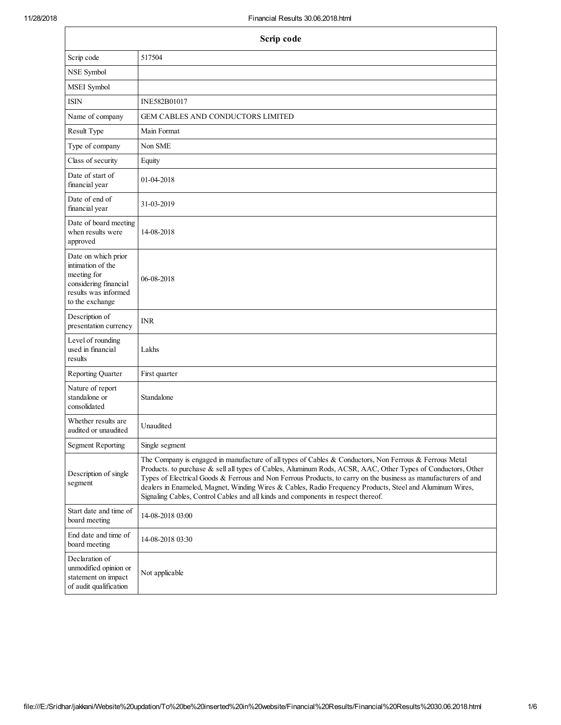| Scrip code                                                                                                                  |                                                                                                                                                                                                                                                                                                                                                                                                                                                                                                                                           |  |  |
|-----------------------------------------------------------------------------------------------------------------------------|-------------------------------------------------------------------------------------------------------------------------------------------------------------------------------------------------------------------------------------------------------------------------------------------------------------------------------------------------------------------------------------------------------------------------------------------------------------------------------------------------------------------------------------------|--|--|
| Scrip code                                                                                                                  | 517504                                                                                                                                                                                                                                                                                                                                                                                                                                                                                                                                    |  |  |
| NSE Symbol                                                                                                                  |                                                                                                                                                                                                                                                                                                                                                                                                                                                                                                                                           |  |  |
| MSEI Symbol                                                                                                                 |                                                                                                                                                                                                                                                                                                                                                                                                                                                                                                                                           |  |  |
| <b>ISIN</b>                                                                                                                 | INE582B01017                                                                                                                                                                                                                                                                                                                                                                                                                                                                                                                              |  |  |
| Name of company                                                                                                             | <b>GEM CABLES AND CONDUCTORS LIMITED</b>                                                                                                                                                                                                                                                                                                                                                                                                                                                                                                  |  |  |
| Result Type                                                                                                                 | Main Format                                                                                                                                                                                                                                                                                                                                                                                                                                                                                                                               |  |  |
| Type of company                                                                                                             | Non SME                                                                                                                                                                                                                                                                                                                                                                                                                                                                                                                                   |  |  |
| Class of security                                                                                                           | Equity                                                                                                                                                                                                                                                                                                                                                                                                                                                                                                                                    |  |  |
| Date of start of<br>financial year                                                                                          | 01-04-2018                                                                                                                                                                                                                                                                                                                                                                                                                                                                                                                                |  |  |
| Date of end of<br>financial year                                                                                            | 31-03-2019                                                                                                                                                                                                                                                                                                                                                                                                                                                                                                                                |  |  |
| Date of board meeting<br>when results were<br>approved                                                                      | 14-08-2018                                                                                                                                                                                                                                                                                                                                                                                                                                                                                                                                |  |  |
| Date on which prior<br>intimation of the<br>meeting for<br>considering financial<br>results was informed<br>to the exchange | 06-08-2018                                                                                                                                                                                                                                                                                                                                                                                                                                                                                                                                |  |  |
| Description of<br>presentation currency                                                                                     | <b>INR</b>                                                                                                                                                                                                                                                                                                                                                                                                                                                                                                                                |  |  |
| Level of rounding<br>used in financial<br>results                                                                           | Lakhs                                                                                                                                                                                                                                                                                                                                                                                                                                                                                                                                     |  |  |
| Reporting Quarter                                                                                                           | First quarter                                                                                                                                                                                                                                                                                                                                                                                                                                                                                                                             |  |  |
| Nature of report<br>standalone or<br>consolidated                                                                           | Standalone                                                                                                                                                                                                                                                                                                                                                                                                                                                                                                                                |  |  |
| Whether results are<br>audited or unaudited                                                                                 | Unaudited                                                                                                                                                                                                                                                                                                                                                                                                                                                                                                                                 |  |  |
| <b>Segment Reporting</b>                                                                                                    | Single segment                                                                                                                                                                                                                                                                                                                                                                                                                                                                                                                            |  |  |
| Description of single<br>segment                                                                                            | The Company is engaged in manufacture of all types of Cables & Conductors, Non Ferrous & Ferrous Metal<br>Products. to purchase & sell all types of Cables, Aluminum Rods, ACSR, AAC, Other Types of Conductors, Other<br>Types of Electrical Goods & Ferrous and Non Ferrous Products, to carry on the business as manufacturers of and<br>dealers in Enameled, Magnet, Winding Wires & Cables, Radio Frequency Products, Steel and Aluminum Wires,<br>Signaling Cables, Control Cables and all kinds and components in respect thereof. |  |  |
| Start date and time of<br>board meeting                                                                                     | 14-08-2018 03:00                                                                                                                                                                                                                                                                                                                                                                                                                                                                                                                          |  |  |
| End date and time of<br>board meeting                                                                                       | 14-08-2018 03:30                                                                                                                                                                                                                                                                                                                                                                                                                                                                                                                          |  |  |
| Declaration of<br>unmodified opinion or<br>statement on impact<br>of audit qualification                                    | Not applicable                                                                                                                                                                                                                                                                                                                                                                                                                                                                                                                            |  |  |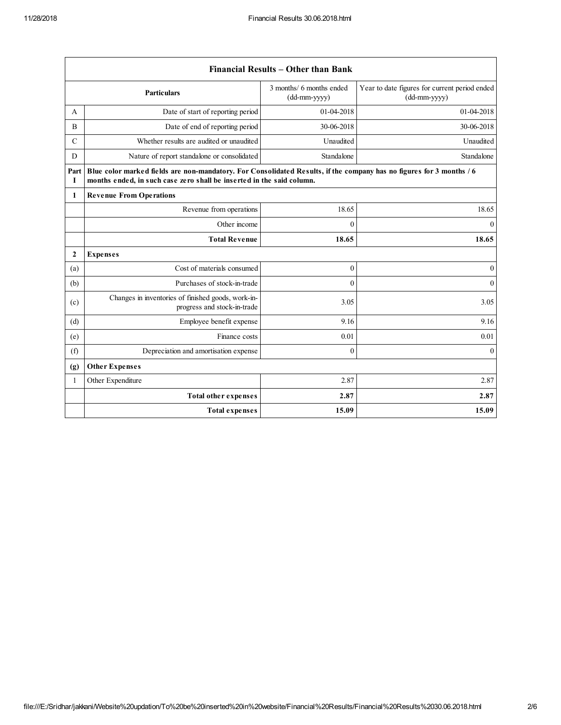$\mathbf{r}$ 

|                  | Financial Results - Other than Bank                                                                                                                                                           |                                            |                                                               |  |  |
|------------------|-----------------------------------------------------------------------------------------------------------------------------------------------------------------------------------------------|--------------------------------------------|---------------------------------------------------------------|--|--|
|                  | <b>Particulars</b>                                                                                                                                                                            | 3 months/ 6 months ended<br>$(dd-mm-yyyy)$ | Year to date figures for current period ended<br>(dd-mm-yyyy) |  |  |
| A                | Date of start of reporting period                                                                                                                                                             | 01-04-2018                                 | 01-04-2018                                                    |  |  |
| B                | Date of end of reporting period                                                                                                                                                               | 30-06-2018                                 | 30-06-2018                                                    |  |  |
| $\mathcal{C}$    | Whether results are audited or unaudited                                                                                                                                                      | Unaudited                                  | Unaudited                                                     |  |  |
| D                | Nature of report standalone or consolidated                                                                                                                                                   | Standalone                                 | Standalone                                                    |  |  |
| Part<br>1        | Blue color marked fields are non-mandatory. For Consolidated Results, if the company has no figures for 3 months / 6<br>months ended, in such case zero shall be inserted in the said column. |                                            |                                                               |  |  |
| 1                | <b>Revenue From Operations</b>                                                                                                                                                                |                                            |                                                               |  |  |
|                  | Revenue from operations                                                                                                                                                                       | 18.65                                      | 18.65                                                         |  |  |
|                  | Other income                                                                                                                                                                                  | $\theta$                                   | $\mathbf{0}$                                                  |  |  |
|                  | <b>Total Revenue</b>                                                                                                                                                                          | 18.65                                      | 18.65                                                         |  |  |
| $\boldsymbol{2}$ | <b>Expenses</b>                                                                                                                                                                               |                                            |                                                               |  |  |
| (a)              | Cost of materials consumed                                                                                                                                                                    | $\mathbf{0}$                               | $\mathbf{0}$                                                  |  |  |
| (b)              | Purchases of stock-in-trade                                                                                                                                                                   | $\theta$                                   | $\mathbf{0}$                                                  |  |  |
| (c)              | Changes in inventories of finished goods, work-in-<br>progress and stock-in-trade                                                                                                             | 3.05                                       | 3.05                                                          |  |  |
| (d)              | Employee benefit expense                                                                                                                                                                      | 9.16                                       | 9.16                                                          |  |  |
| (e)              | Finance costs                                                                                                                                                                                 | 0.01                                       | 0.01                                                          |  |  |
| (f)              | Depreciation and amortisation expense                                                                                                                                                         | $\mathbf{0}$                               | $\theta$                                                      |  |  |
| (g)              | <b>Other Expenses</b>                                                                                                                                                                         |                                            |                                                               |  |  |
| 1                | Other Expenditure                                                                                                                                                                             | 2.87                                       | 2.87                                                          |  |  |
|                  | <b>Total other expenses</b>                                                                                                                                                                   | 2.87                                       | 2.87                                                          |  |  |
|                  | <b>Total expenses</b>                                                                                                                                                                         | 15.09                                      | 15.09                                                         |  |  |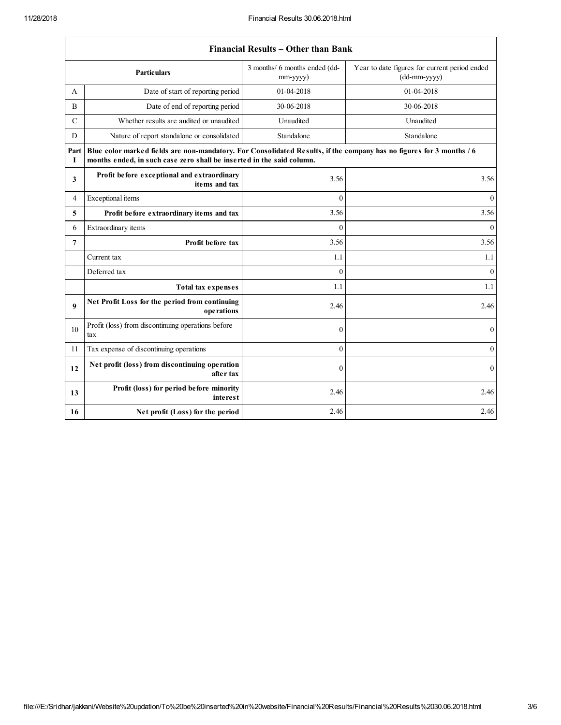|               | <b>Financial Results – Other than Bank</b>                                                                                                                                                    |                                           |                                                               |  |  |  |
|---------------|-----------------------------------------------------------------------------------------------------------------------------------------------------------------------------------------------|-------------------------------------------|---------------------------------------------------------------|--|--|--|
|               | <b>Particulars</b>                                                                                                                                                                            | 3 months/ 6 months ended (dd-<br>mm-yyyy) | Year to date figures for current period ended<br>(dd-mm-yyyy) |  |  |  |
| A             | Date of start of reporting period                                                                                                                                                             | 01-04-2018                                | 01-04-2018                                                    |  |  |  |
| B             | Date of end of reporting period                                                                                                                                                               | 30-06-2018                                | 30-06-2018                                                    |  |  |  |
| $\mathcal{C}$ | Whether results are audited or unaudited                                                                                                                                                      | Unaudited                                 | Unaudited                                                     |  |  |  |
| D             | Nature of report standalone or consolidated                                                                                                                                                   | Standalone                                | Standalone                                                    |  |  |  |
| Part<br>1     | Blue color marked fields are non-mandatory. For Consolidated Results, if the company has no figures for 3 months / 6<br>months ended, in such case zero shall be inserted in the said column. |                                           |                                                               |  |  |  |
| 3             | Profit before exceptional and extraordinary<br>items and tax                                                                                                                                  | 3.56                                      | 3.56                                                          |  |  |  |
| 4             | Exceptional items                                                                                                                                                                             | $\theta$                                  | $\theta$                                                      |  |  |  |
| 5             | Profit before extraordinary items and tax                                                                                                                                                     | 3.56                                      | 3.56                                                          |  |  |  |
| 6             | Extraordinary items                                                                                                                                                                           | $\theta$                                  | $\overline{0}$                                                |  |  |  |
| 7             | Profit before tax                                                                                                                                                                             | 3.56                                      | 3.56                                                          |  |  |  |
|               | Current tax                                                                                                                                                                                   | 1.1                                       | 1.1                                                           |  |  |  |
|               | Deferred tax                                                                                                                                                                                  | $\theta$                                  | $\overline{0}$                                                |  |  |  |
|               | <b>Total tax expenses</b>                                                                                                                                                                     | 1.1                                       | 1.1                                                           |  |  |  |
| 9             | Net Profit Loss for the period from continuing<br>operations                                                                                                                                  | 2.46                                      | 2.46                                                          |  |  |  |
| 10            | Profit (loss) from discontinuing operations before<br>tax                                                                                                                                     | $\mathbf{0}$                              | $\mathbf{0}$                                                  |  |  |  |
| 11            | Tax expense of discontinuing operations                                                                                                                                                       | $\mathbf{0}$                              | $\boldsymbol{0}$                                              |  |  |  |
| 12            | Net profit (loss) from discontinuing operation<br>after tax                                                                                                                                   | $\theta$                                  | $\mathbf{0}$                                                  |  |  |  |
| 13            | Profit (loss) for period before minority<br><i>interest</i>                                                                                                                                   | 2.46                                      | 2.46                                                          |  |  |  |
| 16            | Net profit (Loss) for the period                                                                                                                                                              | 2.46                                      | 2.46                                                          |  |  |  |

## Financial Results – Other than Bank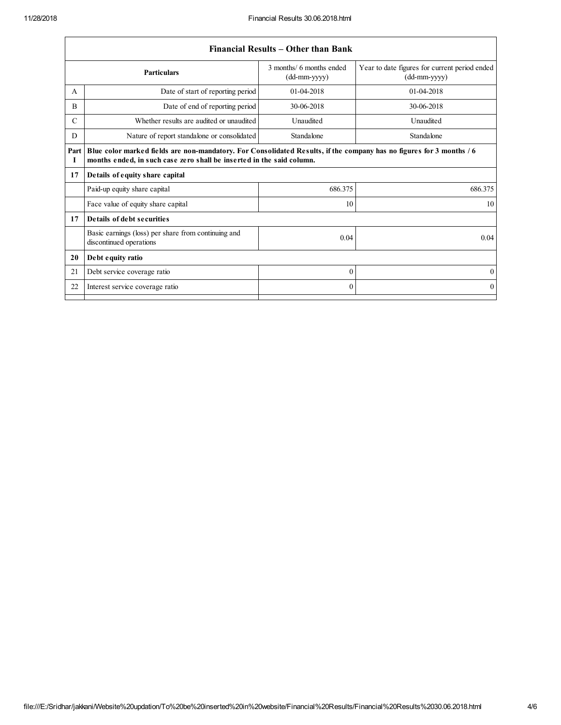|               |                                                                                                                                                                                               | Financial Results – Other than Bank        |                                                                 |  |  |
|---------------|-----------------------------------------------------------------------------------------------------------------------------------------------------------------------------------------------|--------------------------------------------|-----------------------------------------------------------------|--|--|
|               | <b>Particulars</b>                                                                                                                                                                            | 3 months/ 6 months ended<br>$(dd-mm-yyyy)$ | Year to date figures for current period ended<br>$(dd-mm-yyyy)$ |  |  |
| A             | Date of start of reporting period                                                                                                                                                             | $01-04-2018$                               | 01-04-2018                                                      |  |  |
| B             | Date of end of reporting period                                                                                                                                                               | 30-06-2018                                 | 30-06-2018                                                      |  |  |
| $\mathcal{C}$ | Whether results are audited or unaudited                                                                                                                                                      | Unaudited                                  | Unaudited                                                       |  |  |
| D             | Nature of report standalone or consolidated                                                                                                                                                   | Standalone                                 | Standalone                                                      |  |  |
| Part<br>Т     | Blue color marked fields are non-mandatory. For Consolidated Results, if the company has no figures for 3 months / 6<br>months ended, in such case zero shall be inserted in the said column. |                                            |                                                                 |  |  |
| 17            | Details of equity share capital                                                                                                                                                               |                                            |                                                                 |  |  |
|               | Paid-up equity share capital                                                                                                                                                                  | 686.375                                    | 686.375                                                         |  |  |
|               | Face value of equity share capital                                                                                                                                                            | 10                                         | 10                                                              |  |  |
| 17            | Details of debt securities                                                                                                                                                                    |                                            |                                                                 |  |  |
|               | Basic earnings (loss) per share from continuing and<br>discontinued operations                                                                                                                | 0.04                                       | 0.04                                                            |  |  |
| 20            | Debt equity ratio                                                                                                                                                                             |                                            |                                                                 |  |  |
| 21            | Debt service coverage ratio                                                                                                                                                                   | $\Omega$                                   | $\theta$                                                        |  |  |
| 22            | Interest service coverage ratio                                                                                                                                                               | $\Omega$                                   | $\mathbf{0}$                                                    |  |  |
|               |                                                                                                                                                                                               |                                            |                                                                 |  |  |

## Financial Results – Other than Bank